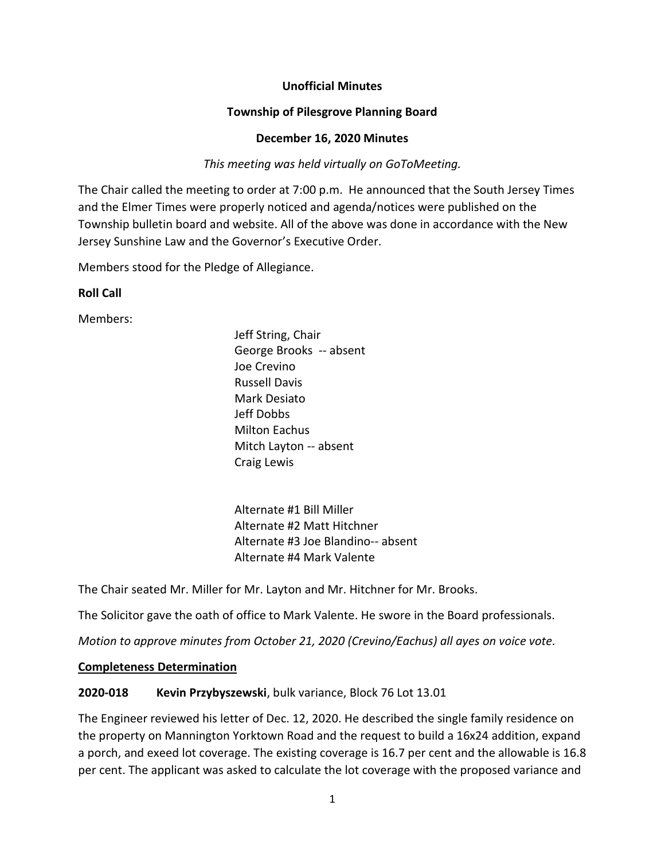## **Unofficial Minutes**

## **Township of Pilesgrove Planning Board**

#### **December 16, 2020 Minutes**

## *This meeting was held virtually on GoToMeeting.*

The Chair called the meeting to order at 7:00 p.m. He announced that the South Jersey Times and the Elmer Times were properly noticed and agenda/notices were published on the Township bulletin board and website. All of the above was done in accordance with the New Jersey Sunshine Law and the Governor's Executive Order.

Members stood for the Pledge of Allegiance.

### **Roll Call**

Members:

Jeff String, Chair George Brooks -- absent Joe Crevino Russell Davis Mark Desiato Jeff Dobbs Milton Eachus Mitch Layton -- absent Craig Lewis

Alternate #1 Bill Miller Alternate #2 Matt Hitchner Alternate #3 Joe Blandino-- absent Alternate #4 Mark Valente

The Chair seated Mr. Miller for Mr. Layton and Mr. Hitchner for Mr. Brooks.

The Solicitor gave the oath of office to Mark Valente. He swore in the Board professionals.

*Motion to approve minutes from October 21, 2020 (Crevino/Eachus) all ayes on voice vote.* 

### **Completeness Determination**

### **2020-018 Kevin Przybyszewski**, bulk variance, Block 76 Lot 13.01

The Engineer reviewed his letter of Dec. 12, 2020. He described the single family residence on the property on Mannington Yorktown Road and the request to build a 16x24 addition, expand a porch, and exeed lot coverage. The existing coverage is 16.7 per cent and the allowable is 16.8 per cent. The applicant was asked to calculate the lot coverage with the proposed variance and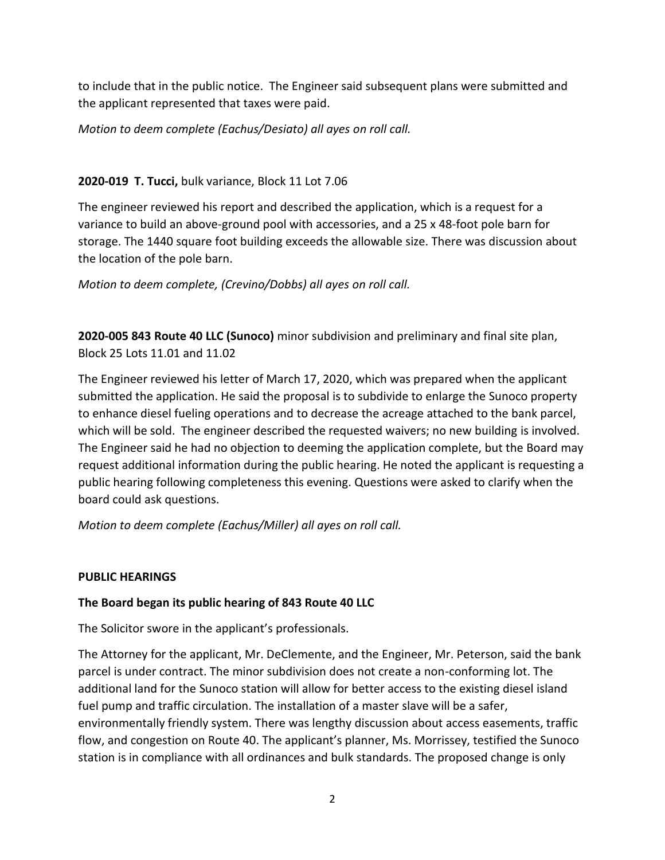to include that in the public notice. The Engineer said subsequent plans were submitted and the applicant represented that taxes were paid.

*Motion to deem complete (Eachus/Desiato) all ayes on roll call.* 

# **2020-019 T. Tucci,** bulk variance, Block 11 Lot 7.06

The engineer reviewed his report and described the application, which is a request for a variance to build an above-ground pool with accessories, and a 25 x 48-foot pole barn for storage. The 1440 square foot building exceeds the allowable size. There was discussion about the location of the pole barn.

*Motion to deem complete, (Crevino/Dobbs) all ayes on roll call.*

**2020-005 843 Route 40 LLC (Sunoco)** minor subdivision and preliminary and final site plan, Block 25 Lots 11.01 and 11.02

The Engineer reviewed his letter of March 17, 2020, which was prepared when the applicant submitted the application. He said the proposal is to subdivide to enlarge the Sunoco property to enhance diesel fueling operations and to decrease the acreage attached to the bank parcel, which will be sold. The engineer described the requested waivers; no new building is involved. The Engineer said he had no objection to deeming the application complete, but the Board may request additional information during the public hearing. He noted the applicant is requesting a public hearing following completeness this evening. Questions were asked to clarify when the board could ask questions.

*Motion to deem complete (Eachus/Miller) all ayes on roll call.*

# **PUBLIC HEARINGS**

# **The Board began its public hearing of 843 Route 40 LLC**

The Solicitor swore in the applicant's professionals.

The Attorney for the applicant, Mr. DeClemente, and the Engineer, Mr. Peterson, said the bank parcel is under contract. The minor subdivision does not create a non-conforming lot. The additional land for the Sunoco station will allow for better access to the existing diesel island fuel pump and traffic circulation. The installation of a master slave will be a safer, environmentally friendly system. There was lengthy discussion about access easements, traffic flow, and congestion on Route 40. The applicant's planner, Ms. Morrissey, testified the Sunoco station is in compliance with all ordinances and bulk standards. The proposed change is only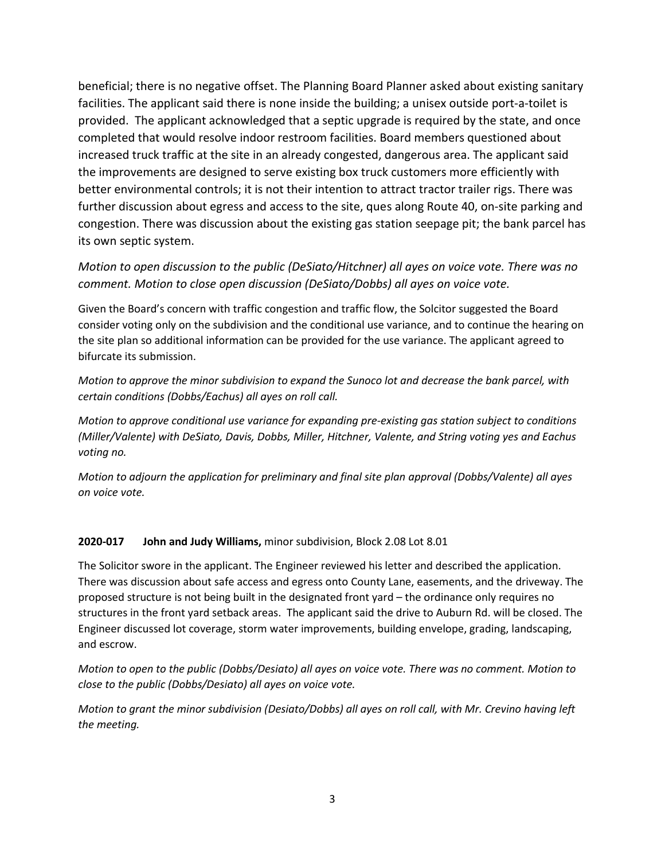beneficial; there is no negative offset. The Planning Board Planner asked about existing sanitary facilities. The applicant said there is none inside the building; a unisex outside port-a-toilet is provided. The applicant acknowledged that a septic upgrade is required by the state, and once completed that would resolve indoor restroom facilities. Board members questioned about increased truck traffic at the site in an already congested, dangerous area. The applicant said the improvements are designed to serve existing box truck customers more efficiently with better environmental controls; it is not their intention to attract tractor trailer rigs. There was further discussion about egress and access to the site, ques along Route 40, on-site parking and congestion. There was discussion about the existing gas station seepage pit; the bank parcel has its own septic system.

*Motion to open discussion to the public (DeSiato/Hitchner) all ayes on voice vote. There was no comment. Motion to close open discussion (DeSiato/Dobbs) all ayes on voice vote.*

Given the Board's concern with traffic congestion and traffic flow, the Solcitor suggested the Board consider voting only on the subdivision and the conditional use variance, and to continue the hearing on the site plan so additional information can be provided for the use variance. The applicant agreed to bifurcate its submission.

*Motion to approve the minor subdivision to expand the Sunoco lot and decrease the bank parcel, with certain conditions (Dobbs/Eachus) all ayes on roll call.*

*Motion to approve conditional use variance for expanding pre-existing gas station subject to conditions (Miller/Valente) with DeSiato, Davis, Dobbs, Miller, Hitchner, Valente, and String voting yes and Eachus voting no.*

*Motion to adjourn the application for preliminary and final site plan approval (Dobbs/Valente) all ayes on voice vote.*

#### **2020-017 John and Judy Williams,** minor subdivision, Block 2.08 Lot 8.01

The Solicitor swore in the applicant. The Engineer reviewed his letter and described the application. There was discussion about safe access and egress onto County Lane, easements, and the driveway. The proposed structure is not being built in the designated front yard – the ordinance only requires no structures in the front yard setback areas. The applicant said the drive to Auburn Rd. will be closed. The Engineer discussed lot coverage, storm water improvements, building envelope, grading, landscaping, and escrow.

*Motion to open to the public (Dobbs/Desiato) all ayes on voice vote. There was no comment. Motion to close to the public (Dobbs/Desiato) all ayes on voice vote.* 

*Motion to grant the minor subdivision (Desiato/Dobbs) all ayes on roll call, with Mr. Crevino having left the meeting.*